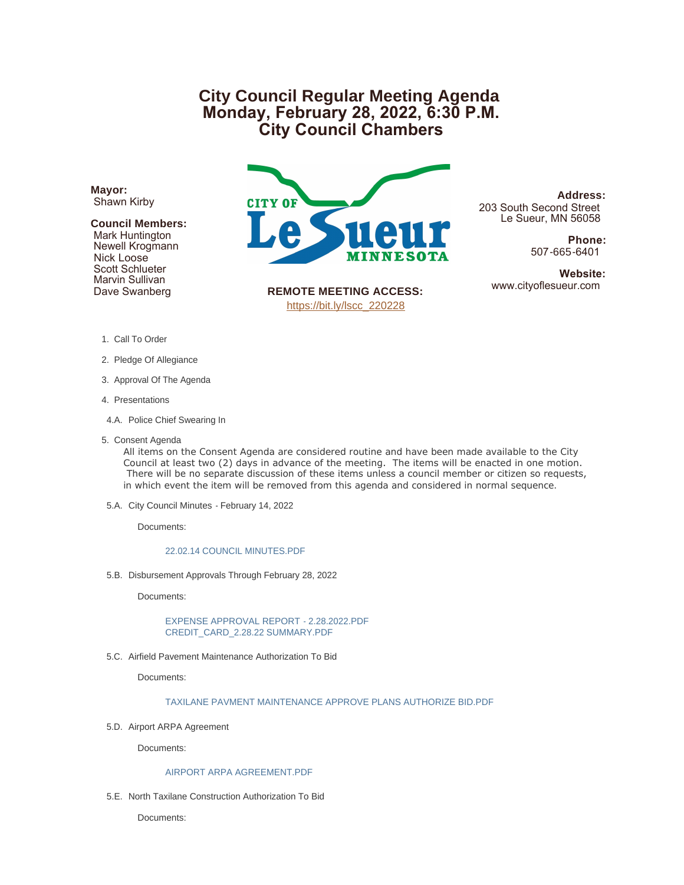# **City Council Regular Meeting Agenda Monday, February 28, 2022, 6:30 P.M. City Council Chambers**

**Mayor:** Shawn Kirby

# **Council Members:**

 Mark Huntington Newell Krogmann Nick Loose Scott Schlueter Marvin Sullivan Dave Swanberg



**Address:** 203 South Second Street Le Sueur, MN 56058

> **Phone:** 507-665-6401

**Website:**<br>www.cityoflesueur.com

**REMOTE MEETING ACCESS:** [https://bit.ly/lscc\\_220228](https://bit.ly/lscc_220228)

- 1. Call To Order
- 2. Pledge Of Allegiance
- 3. Approval Of The Agenda
- 4. Presentations
- 4.A. Police Chief Swearing In
- 5. Consent Agenda

All items on the Consent Agenda are considered routine and have been made available to the City Council at least two (2) days in advance of the meeting. The items will be enacted in one motion. There will be no separate discussion of these items unless a council member or citizen so requests, in which event the item will be removed from this agenda and considered in normal sequence.

5.A. City Council Minutes - February 14, 2022

Documents:

#### [22.02.14 COUNCIL MINUTES.PDF](http://www.cityoflesueur.com/AgendaCenter/ViewFile/Item/2394?fileID=3117)

5.B. Disbursement Approvals Through February 28, 2022

Documents:

[EXPENSE APPROVAL REPORT - 2.28.2022.PDF](http://www.cityoflesueur.com/AgendaCenter/ViewFile/Item/2447?fileID=3120) [CREDIT\\_CARD\\_2.28.22 SUMMARY.PDF](http://www.cityoflesueur.com/AgendaCenter/ViewFile/Item/2447?fileID=3121)

5.C. Airfield Pavement Maintenance Authorization To Bid

Documents:

## [TAXILANE PAVMENT MAINTENANCE APPROVE PLANS AUTHORIZE BID.PDF](http://www.cityoflesueur.com/AgendaCenter/ViewFile/Item/2451?fileID=3125)

5.D. Airport ARPA Agreement

Documents:

# [AIRPORT ARPA AGREEMENT.PDF](http://www.cityoflesueur.com/AgendaCenter/ViewFile/Item/2449?fileID=3123)

5.E. North Taxilane Construction Authorization To Bid

Documents: